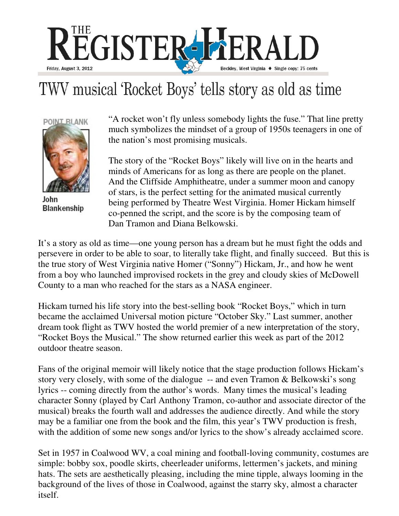

## TWV musical 'Rocket Boys' tells story as old as time



John **Blankenship** 

"A rocket won't fly unless somebody lights the fuse." That line pretty much symbolizes the mindset of a group of 1950s teenagers in one of the nation's most promising musicals.

The story of the "Rocket Boys" likely will live on in the hearts and minds of Americans for as long as there are people on the planet. And the Cliffside Amphitheatre, under a summer moon and canopy of stars, is the perfect setting for the animated musical currently being performed by Theatre West Virginia. Homer Hickam himself co-penned the script, and the score is by the composing team of Dan Tramon and Diana Belkowski.

It's a story as old as time—one young person has a dream but he must fight the odds and persevere in order to be able to soar, to literally take flight, and finally succeed. But this is the true story of West Virginia native Homer ("Sonny") Hickam, Jr., and how he went from a boy who launched improvised rockets in the grey and cloudy skies of McDowell County to a man who reached for the stars as a NASA engineer.

Hickam turned his life story into the best-selling book "Rocket Boys," which in turn became the acclaimed Universal motion picture "October Sky." Last summer, another dream took flight as TWV hosted the world premier of a new interpretation of the story, "Rocket Boys the Musical." The show returned earlier this week as part of the 2012 outdoor theatre season.

Fans of the original memoir will likely notice that the stage production follows Hickam's story very closely, with some of the dialogue -- and even Tramon & Belkowski's song lyrics -- coming directly from the author's words. Many times the musical's leading character Sonny (played by Carl Anthony Tramon, co-author and associate director of the musical) breaks the fourth wall and addresses the audience directly. And while the story may be a familiar one from the book and the film, this year's TWV production is fresh, with the addition of some new songs and/or lyrics to the show's already acclaimed score.

Set in 1957 in Coalwood WV, a coal mining and football-loving community, costumes are simple: bobby sox, poodle skirts, cheerleader uniforms, lettermen's jackets, and mining hats. The sets are aesthetically pleasing, including the mine tipple, always looming in the background of the lives of those in Coalwood, against the starry sky, almost a character itself.